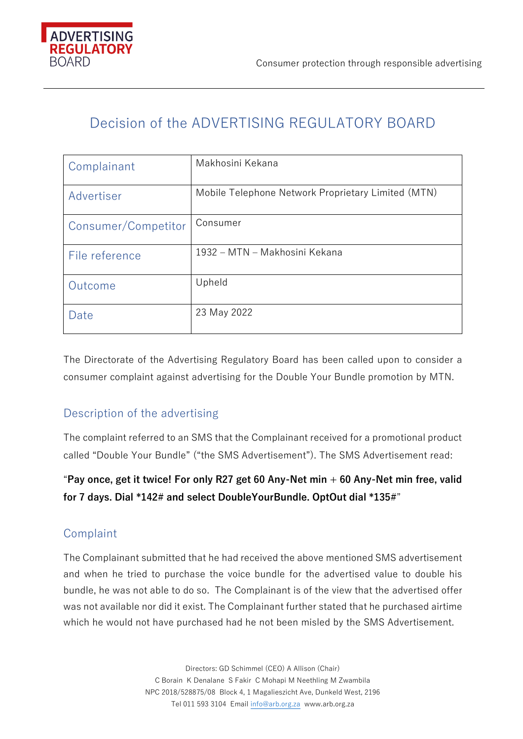

# Decision of the ADVERTISING REGULATORY BOARD

| Complainant         | Makhosini Kekana                                   |
|---------------------|----------------------------------------------------|
| Advertiser          | Mobile Telephone Network Proprietary Limited (MTN) |
| Consumer/Competitor | Consumer                                           |
| File reference      | 1932 - MTN - Makhosini Kekana                      |
| Outcome             | Upheld                                             |
| Date                | 23 May 2022                                        |

The Directorate of the Advertising Regulatory Board has been called upon to consider a consumer complaint against advertising for the Double Your Bundle promotion by MTN.

# Description of the advertising

The complaint referred to an SMS that the Complainant received for a promotional product called "Double Your Bundle" ("the SMS Advertisement"). The SMS Advertisement read:

"**Pay once, get it twice! For only R27 get 60 Any-Net min + 60 Any-Net min free, valid for 7 days. Dial \*142# and select DoubleYourBundle. OptOut dial \*135#**"

# Complaint

The Complainant submitted that he had received the above mentioned SMS advertisement and when he tried to purchase the voice bundle for the advertised value to double his bundle, he was not able to do so. The Complainant is of the view that the advertised offer was not available nor did it exist. The Complainant further stated that he purchased airtime which he would not have purchased had he not been misled by the SMS Advertisement.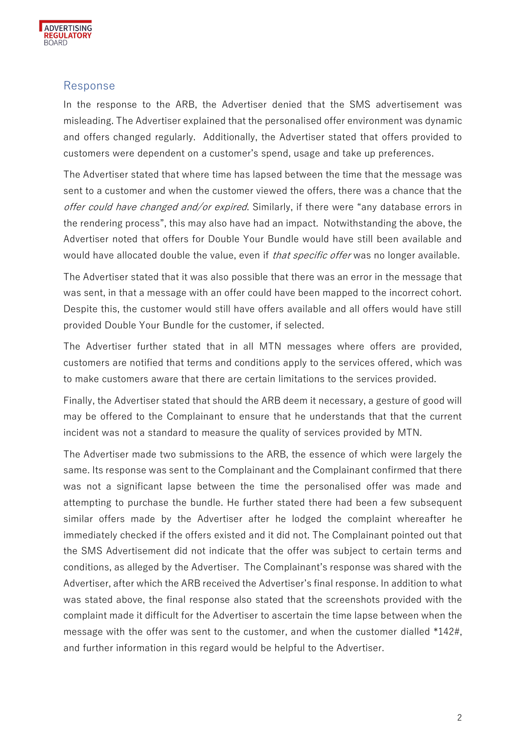

#### Response

In the response to the ARB, the Advertiser denied that the SMS advertisement was misleading. The Advertiser explained that the personalised offer environment was dynamic and offers changed regularly. Additionally, the Advertiser stated that offers provided to customers were dependent on a customer's spend, usage and take up preferences.

The Advertiser stated that where time has lapsed between the time that the message was sent to a customer and when the customer viewed the offers, there was a chance that the offer could have changed and/or expired. Similarly, if there were "any database errors in the rendering process", this may also have had an impact. Notwithstanding the above, the Advertiser noted that offers for Double Your Bundle would have still been available and would have allocated double the value, even if *that specific offer* was no longer available.

The Advertiser stated that it was also possible that there was an error in the message that was sent, in that a message with an offer could have been mapped to the incorrect cohort. Despite this, the customer would still have offers available and all offers would have still provided Double Your Bundle for the customer, if selected.

The Advertiser further stated that in all MTN messages where offers are provided, customers are notified that terms and conditions apply to the services offered, which was to make customers aware that there are certain limitations to the services provided.

Finally, the Advertiser stated that should the ARB deem it necessary, a gesture of good will may be offered to the Complainant to ensure that he understands that that the current incident was not a standard to measure the quality of services provided by MTN.

The Advertiser made two submissions to the ARB, the essence of which were largely the same. Its response was sent to the Complainant and the Complainant confirmed that there was not a significant lapse between the time the personalised offer was made and attempting to purchase the bundle. He further stated there had been a few subsequent similar offers made by the Advertiser after he lodged the complaint whereafter he immediately checked if the offers existed and it did not. The Complainant pointed out that the SMS Advertisement did not indicate that the offer was subject to certain terms and conditions, as alleged by the Advertiser. The Complainant's response was shared with the Advertiser, after which the ARB received the Advertiser's final response. In addition to what was stated above, the final response also stated that the screenshots provided with the complaint made it difficult for the Advertiser to ascertain the time lapse between when the message with the offer was sent to the customer, and when the customer dialled \*142#, and further information in this regard would be helpful to the Advertiser.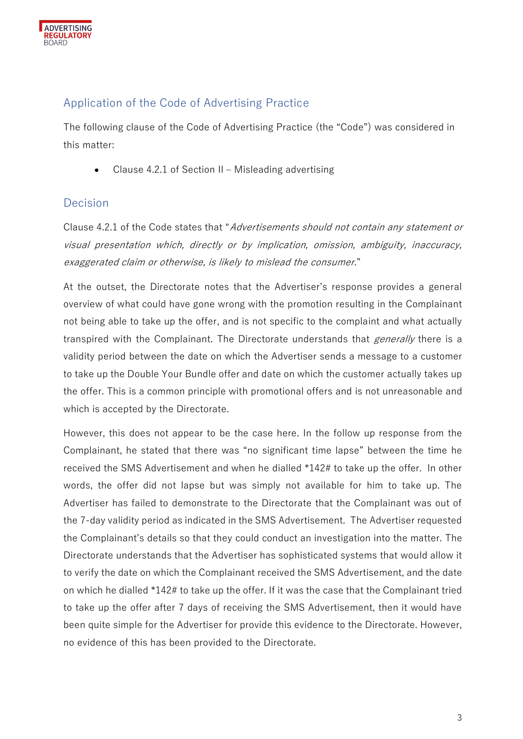

## Application of the Code of Advertising Practice

The following clause of the Code of Advertising Practice (the "Code") was considered in this matter:

Clause 4.2.1 of Section  $II$  – Misleading advertising

#### Decision

Clause 4.2.1 of the Code states that "Advertisements should not contain any statement or visual presentation which, directly or by implication, omission, ambiguity, inaccuracy, exaggerated claim or otherwise, is likely to mislead the consumer."

At the outset, the Directorate notes that the Advertiser's response provides a general overview of what could have gone wrong with the promotion resulting in the Complainant not being able to take up the offer, and is not specific to the complaint and what actually transpired with the Complainant. The Directorate understands that *generally* there is a validity period between the date on which the Advertiser sends a message to a customer to take up the Double Your Bundle offer and date on which the customer actually takes up the offer. This is a common principle with promotional offers and is not unreasonable and which is accepted by the Directorate.

However, this does not appear to be the case here. In the follow up response from the Complainant, he stated that there was "no significant time lapse" between the time he received the SMS Advertisement and when he dialled \*142# to take up the offer. In other words, the offer did not lapse but was simply not available for him to take up. The Advertiser has failed to demonstrate to the Directorate that the Complainant was out of the 7-day validity period as indicated in the SMS Advertisement. The Advertiser requested the Complainant's details so that they could conduct an investigation into the matter. The Directorate understands that the Advertiser has sophisticated systems that would allow it to verify the date on which the Complainant received the SMS Advertisement, and the date on which he dialled \*142# to take up the offer. If it was the case that the Complainant tried to take up the offer after 7 days of receiving the SMS Advertisement, then it would have been quite simple for the Advertiser for provide this evidence to the Directorate. However, no evidence of this has been provided to the Directorate.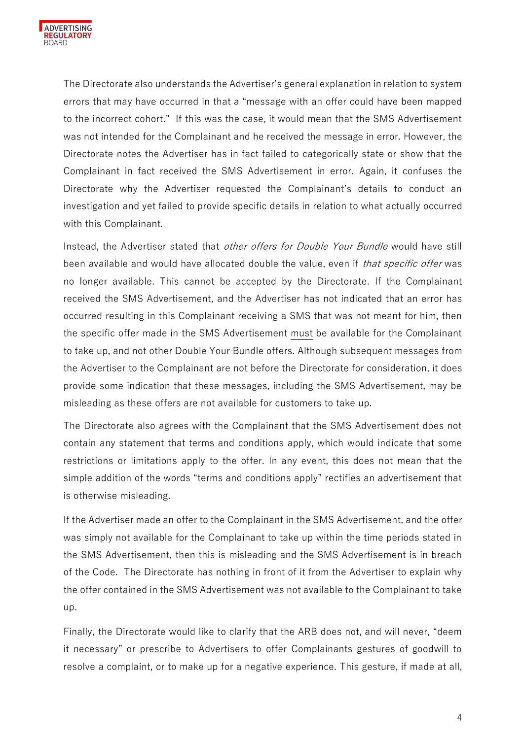

The Directorate also understands the Advertiser's general explanation in relation to system errors that may have occurred in that a "message with an offer could have been mapped to the incorrect cohort." If this was the case, it would mean that the SMS Advertisement was not intended for the Complainant and he received the message in error. However, the Directorate notes the Advertiser has in fact failed to categorically state or show that the Complainant in fact received the SMS Advertisement in error. Again, it confuses the Directorate why the Advertiser requested the Complainant's details to conduct an investigation and yet failed to provide specific details in relation to what actually occurred with this Complainant.

Instead, the Advertiser stated that *other offers for Double Your Bundle* would have still been available and would have allocated double the value, even if that specific offer was no longer available. This cannot be accepted by the Directorate. If the Complainant received the SMS Advertisement, and the Advertiser has not indicated that an error has occurred resulting in this Complainant receiving a SMS that was not meant for him, then the specific offer made in the SMS Advertisement must be available for the Complainant to take up, and not other Double Your Bundle offers. Although subsequent messages from the Advertiser to the Complainant are not before the Directorate for consideration, it does provide some indication that these messages, including the SMS Advertisement, may be misleading as these offers are not available for customers to take up.

The Directorate also agrees with the Complainant that the SMS Advertisement does not contain any statement that terms and conditions apply, which would indicate that some restrictions or limitations apply to the offer. In any event, this does not mean that the simple addition of the words "terms and conditions apply" rectifies an advertisement that is otherwise misleading.

If the Advertiser made an offer to the Complainant in the SMS Advertisement, and the offer was simply not available for the Complainant to take up within the time periods stated in the SMS Advertisement, then this is misleading and the SMS Advertisement is in breach of the Code. The Directorate has nothing in front of it from the Advertiser to explain why the offer contained in the SMS Advertisement was not available to the Complainant to take up.

Finally, the Directorate would like to clarify that the ARB does not, and will never, "deem it necessary" or prescribe to Advertisers to offer Complainants gestures of goodwill to resolve a complaint, or to make up for a negative experience. This gesture, if made at all,